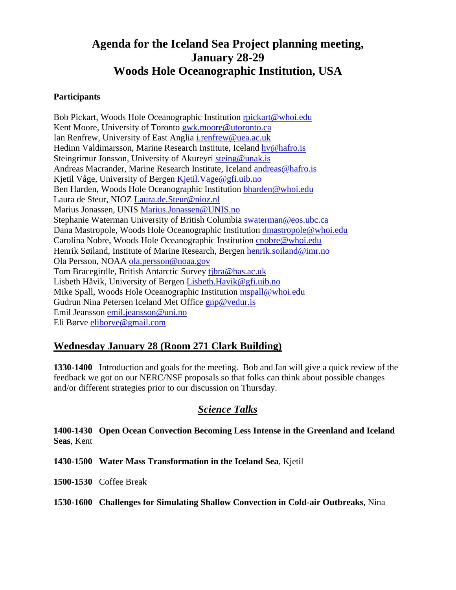# **Agenda for the Iceland Sea Project planning meeting, January 28-29 Woods Hole Oceanographic Institution, USA**

### **Participants**

Bob Pickart, Woods Hole Oceanographic Institution rpickart@whoi.edu Kent Moore, University of Toronto gwk.moore@utoronto.ca Ian Renfrew, University of East Anglia i.renfrew@uea.ac.uk Hedinn Valdimarsson, Marine Research Institute, Iceland hv@hafro.is Steingrimur Jonsson, University of Akureyri steing@unak.is Andreas Macrander, Marine Research Institute, Iceland andreas@hafro.is Kjetil Våge, University of Bergen Kjetil.Vage@gfi.uib.no Ben Harden, Woods Hole Oceanographic Institution bharden@whoi.edu Laura de Steur, NIOZ Laura.de.Steur@nioz.nl Marius Jonassen, UNIS Marius.Jonassen@UNIS.no Stephanie Waterman University of British Columbia swaterman@eos.ubc.ca Dana Mastropole, Woods Hole Oceanographic Institution dmastropole@whoi.edu Carolina Nobre, Woods Hole Oceanographic Institution cnobre@whoi.edu Henrik Søiland, Institute of Marine Research, Bergen henrik.soiland@imr.no Ola Persson, NOAA ola.persson@noaa.gov Tom Bracegirdle, British Antarctic Survey tjbra@bas.ac.uk Lisbeth Håvik, University of Bergen Lisbeth.Havik@gfi.uib.no Mike Spall, Woods Hole Oceanographic Institution mspall@whoi.edu Gudrun Nina Petersen Iceland Met Office gnp@vedur.is Emil Jeansson emil.jeansson@uni.no Eli Børve eliborve@gmail.com

# **Wednesday January 28 (Room 271 Clark Building)**

**1330-1400** Introduction and goals for the meeting. Bob and Ian will give a quick review of the feedback we got on our NERC/NSF proposals so that folks can think about possible changes and/or different strategies prior to our discussion on Thursday.

# *Science Talks*

**1400-1430 Open Ocean Convection Becoming Less Intense in the Greenland and Iceland Seas**, Kent

**1430-1500 Water Mass Transformation in the Iceland Sea**, Kjetil

**1500-1530** Coffee Break

**1530-1600 Challenges for Simulating Shallow Convection in Cold-air Outbreaks**, Nina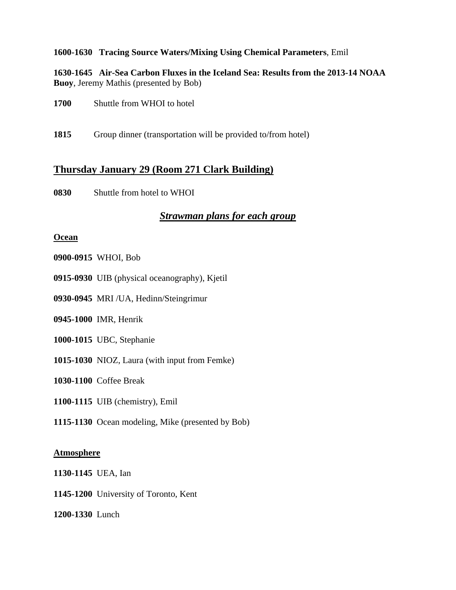### **1600-1630 Tracing Source Waters/Mixing Using Chemical Parameters**, Emil

**1630-1645 Air-Sea Carbon Fluxes in the Iceland Sea: Results from the 2013-14 NOAA Buoy**, Jeremy Mathis (presented by Bob)

| 1700<br>Shuttle from WHOI to hotel |
|------------------------------------|
|------------------------------------|

**1815** Group dinner (transportation will be provided to/from hotel)

# **Thursday January 29 (Room 271 Clark Building)**

**0830** Shuttle from hotel to WHOI

# *Strawman plans for each group*

#### **Ocean**

**0900-0915** WHOI, Bob

- **0915-0930** UIB (physical oceanography), Kjetil
- **0930-0945** MRI /UA, Hedinn/Steingrimur

**0945-1000** IMR, Henrik

- **1000-1015** UBC, Stephanie
- **1015-1030** NIOZ, Laura (with input from Femke)

**1030-1100** Coffee Break

**1100-1115** UIB (chemistry), Emil

**1115-1130** Ocean modeling, Mike (presented by Bob)

#### **Atmosphere**

**1130-1145** UEA, Ian

**1145-1200** University of Toronto, Kent

**1200-1330** Lunch